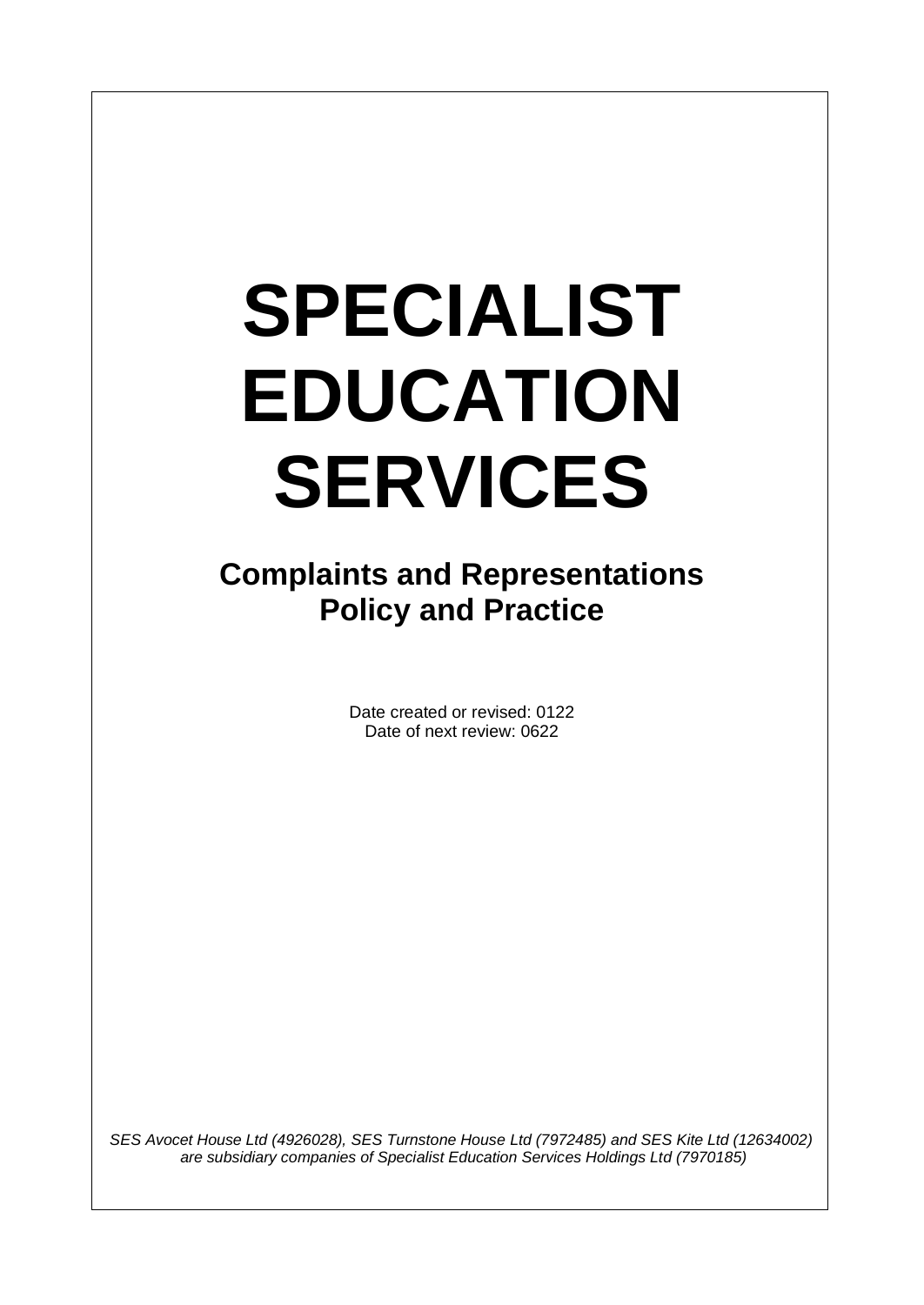I

**Complaints and Representations Policy and Practice**

> Date created or revised: 0122 Date of next review: 0622

*SES Avocet House Ltd (4926028), SES Turnstone House Ltd (7972485) and SES Kite Ltd (12634002) are subsidiary companies of Specialist Education Services Holdings Ltd (7970185)*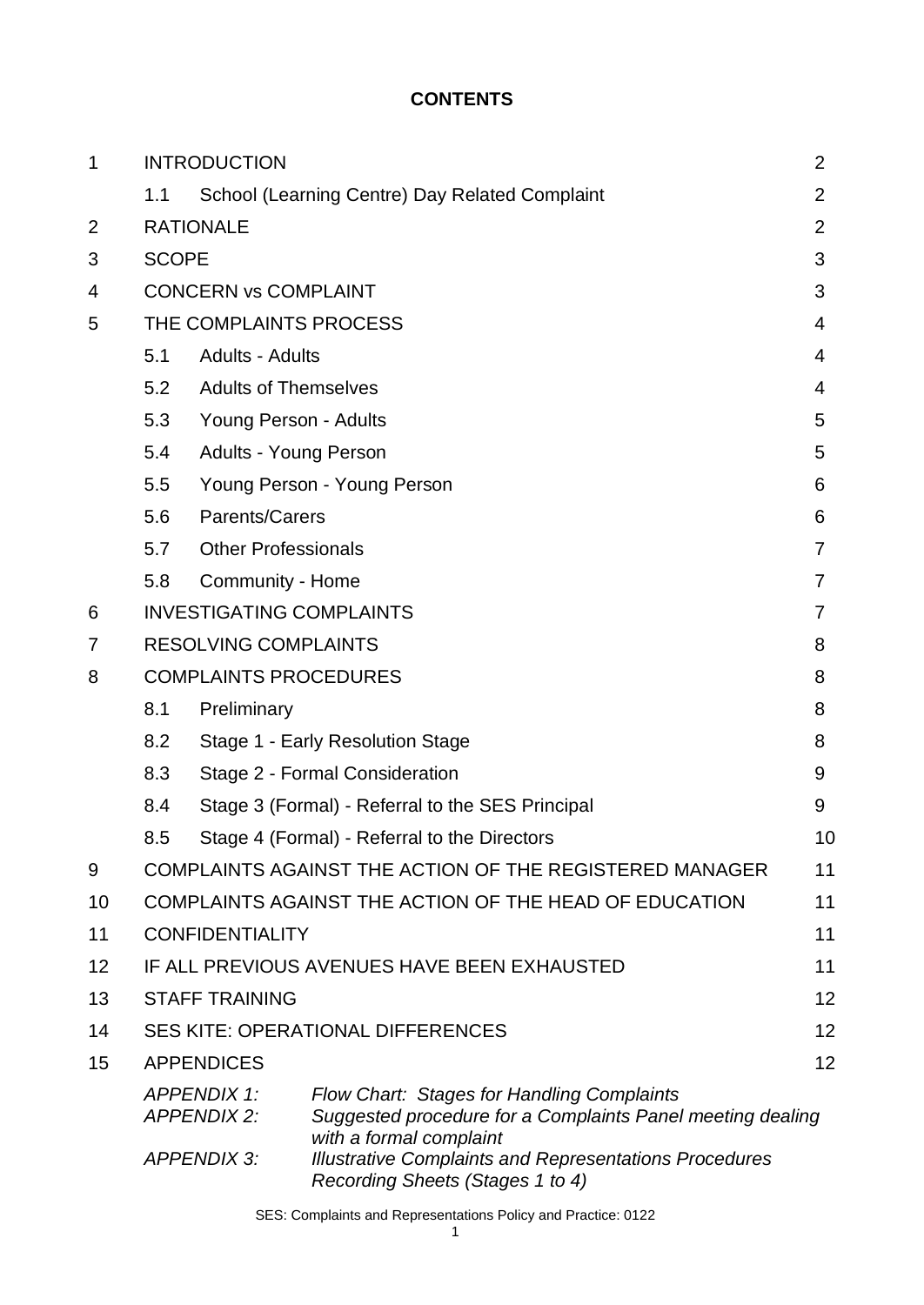#### **CONTENTS**

| 1  | <b>INTRODUCTION</b>                      |                                                              |                                                                                                                                     | $\overline{2}$ |  |  |
|----|------------------------------------------|--------------------------------------------------------------|-------------------------------------------------------------------------------------------------------------------------------------|----------------|--|--|
|    | 1.1                                      |                                                              | School (Learning Centre) Day Related Complaint                                                                                      | 2              |  |  |
| 2  |                                          | <b>RATIONALE</b>                                             |                                                                                                                                     |                |  |  |
| 3  |                                          | <b>SCOPE</b>                                                 |                                                                                                                                     |                |  |  |
| 4  | <b>CONCERN vs COMPLAINT</b>              |                                                              |                                                                                                                                     |                |  |  |
| 5  | THE COMPLAINTS PROCESS                   |                                                              |                                                                                                                                     |                |  |  |
|    | 5.1                                      | <b>Adults - Adults</b>                                       |                                                                                                                                     | 4              |  |  |
|    | 5.2                                      | <b>Adults of Themselves</b>                                  |                                                                                                                                     | 4              |  |  |
|    | 5.3                                      | Young Person - Adults                                        |                                                                                                                                     | 5              |  |  |
|    | 5.4                                      | Adults - Young Person                                        |                                                                                                                                     |                |  |  |
|    | 5.5                                      | Young Person - Young Person                                  |                                                                                                                                     |                |  |  |
|    | 5.6                                      | Parents/Carers                                               |                                                                                                                                     | 6              |  |  |
|    | 5.7                                      | <b>Other Professionals</b><br>7                              |                                                                                                                                     |                |  |  |
|    | 5.8                                      | Community - Home                                             |                                                                                                                                     | 7              |  |  |
| 6  |                                          | <b>INVESTIGATING COMPLAINTS</b><br>7                         |                                                                                                                                     |                |  |  |
| 7  |                                          | <b>RESOLVING COMPLAINTS</b>                                  |                                                                                                                                     | 8              |  |  |
| 8  | <b>COMPLAINTS PROCEDURES</b>             |                                                              |                                                                                                                                     |                |  |  |
|    | 8.1                                      | Preliminary                                                  |                                                                                                                                     | 8              |  |  |
|    | 8.2                                      | Stage 1 - Early Resolution Stage<br>8                        |                                                                                                                                     |                |  |  |
|    | 8.3                                      | Stage 2 - Formal Consideration<br>9                          |                                                                                                                                     |                |  |  |
|    | 8.4                                      |                                                              | Stage 3 (Formal) - Referral to the SES Principal                                                                                    | 9              |  |  |
|    | 8.5                                      |                                                              | Stage 4 (Formal) - Referral to the Directors                                                                                        | 10             |  |  |
| 9  |                                          |                                                              | COMPLAINTS AGAINST THE ACTION OF THE REGISTERED MANAGER                                                                             | 11             |  |  |
| 10 |                                          | COMPLAINTS AGAINST THE ACTION OF THE HEAD OF EDUCATION<br>11 |                                                                                                                                     |                |  |  |
| 11 |                                          | <b>CONFIDENTIALITY</b>                                       |                                                                                                                                     | 11             |  |  |
| 12 |                                          | IF ALL PREVIOUS AVENUES HAVE BEEN EXHAUSTED<br>11            |                                                                                                                                     |                |  |  |
| 13 |                                          | <b>STAFF TRAINING</b>                                        |                                                                                                                                     | 12             |  |  |
| 14 | <b>SES KITE: OPERATIONAL DIFFERENCES</b> |                                                              |                                                                                                                                     |                |  |  |
| 15 |                                          | <b>APPENDICES</b>                                            |                                                                                                                                     | 12             |  |  |
|    |                                          | <b>APPENDIX 1:</b><br><b>APPENDIX 2:</b>                     | Flow Chart: Stages for Handling Complaints<br>Suggested procedure for a Complaints Panel meeting dealing<br>with a formal complaint |                |  |  |
|    |                                          | <b>APPENDIX 3:</b>                                           | <b>Illustrative Complaints and Representations Procedures</b><br>Recording Sheets (Stages 1 to 4)                                   |                |  |  |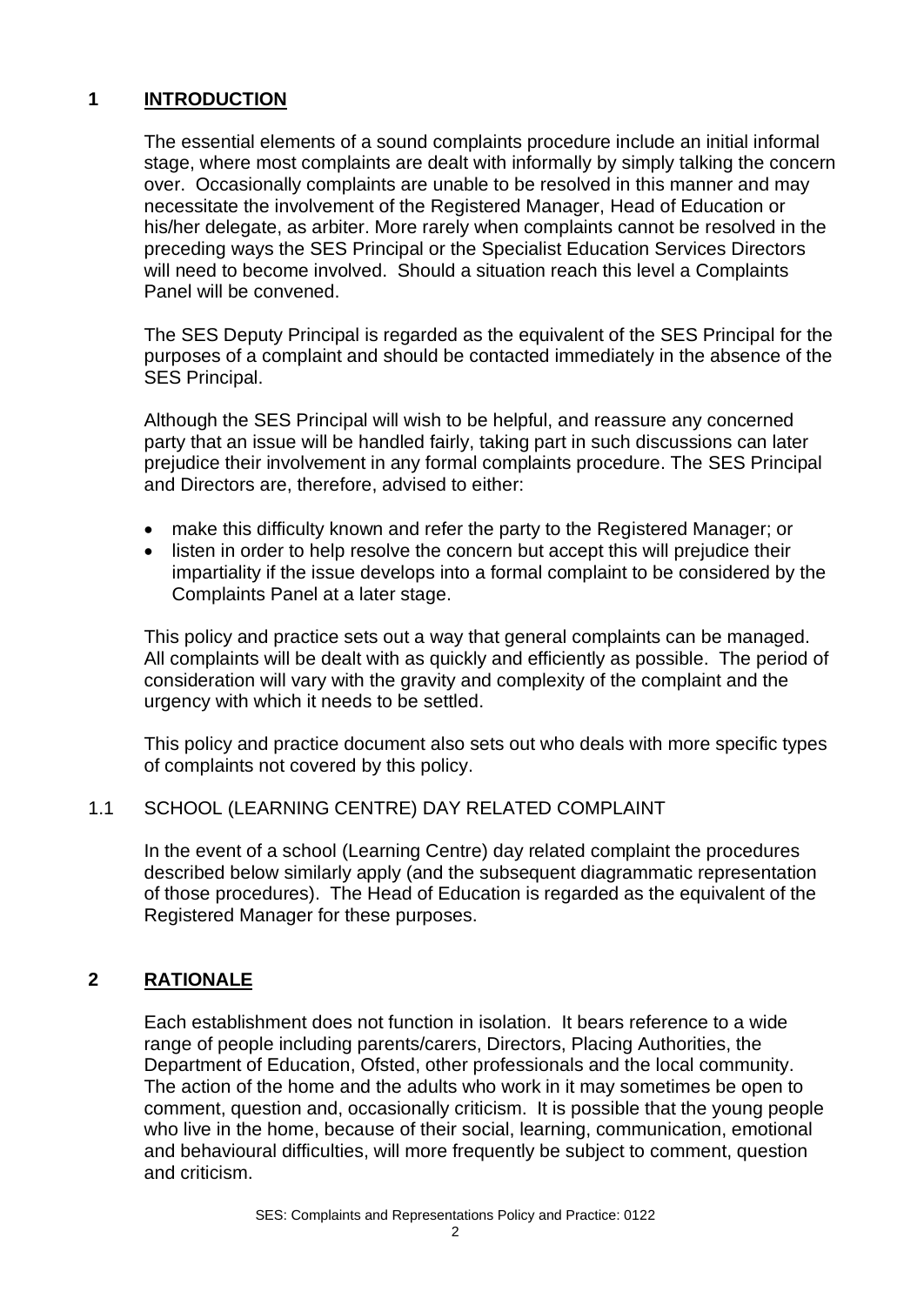#### **1 INTRODUCTION**

The essential elements of a sound complaints procedure include an initial informal stage, where most complaints are dealt with informally by simply talking the concern over. Occasionally complaints are unable to be resolved in this manner and may necessitate the involvement of the Registered Manager, Head of Education or his/her delegate, as arbiter. More rarely when complaints cannot be resolved in the preceding ways the SES Principal or the Specialist Education Services Directors will need to become involved. Should a situation reach this level a Complaints Panel will be convened.

The SES Deputy Principal is regarded as the equivalent of the SES Principal for the purposes of a complaint and should be contacted immediately in the absence of the SES Principal.

Although the SES Principal will wish to be helpful, and reassure any concerned party that an issue will be handled fairly, taking part in such discussions can later prejudice their involvement in any formal complaints procedure. The SES Principal and Directors are, therefore, advised to either:

- make this difficulty known and refer the party to the Registered Manager; or
- listen in order to help resolve the concern but accept this will prejudice their impartiality if the issue develops into a formal complaint to be considered by the Complaints Panel at a later stage.

This policy and practice sets out a way that general complaints can be managed. All complaints will be dealt with as quickly and efficiently as possible. The period of consideration will vary with the gravity and complexity of the complaint and the urgency with which it needs to be settled.

This policy and practice document also sets out who deals with more specific types of complaints not covered by this policy.

#### 1.1 SCHOOL (LEARNING CENTRE) DAY RELATED COMPLAINT

In the event of a school (Learning Centre) day related complaint the procedures described below similarly apply (and the subsequent diagrammatic representation of those procedures). The Head of Education is regarded as the equivalent of the Registered Manager for these purposes.

#### **2 RATIONALE**

Each establishment does not function in isolation. It bears reference to a wide range of people including parents/carers, Directors, Placing Authorities, the Department of Education, Ofsted, other professionals and the local community. The action of the home and the adults who work in it may sometimes be open to comment, question and, occasionally criticism. It is possible that the young people who live in the home, because of their social, learning, communication, emotional and behavioural difficulties, will more frequently be subject to comment, question and criticism.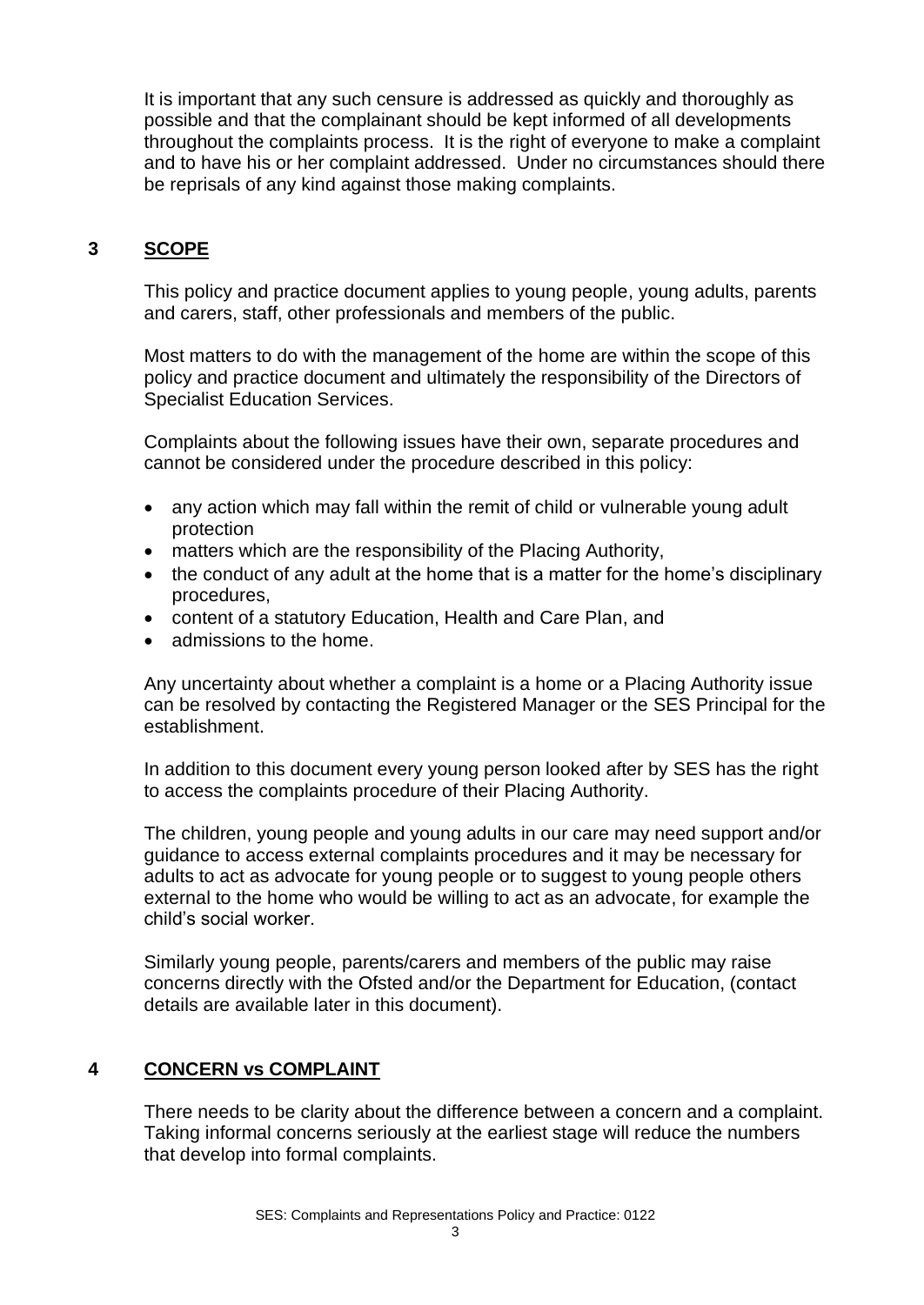It is important that any such censure is addressed as quickly and thoroughly as possible and that the complainant should be kept informed of all developments throughout the complaints process. It is the right of everyone to make a complaint and to have his or her complaint addressed. Under no circumstances should there be reprisals of any kind against those making complaints.

#### **3 SCOPE**

This policy and practice document applies to young people, young adults, parents and carers, staff, other professionals and members of the public.

Most matters to do with the management of the home are within the scope of this policy and practice document and ultimately the responsibility of the Directors of Specialist Education Services.

Complaints about the following issues have their own, separate procedures and cannot be considered under the procedure described in this policy:

- any action which may fall within the remit of child or vulnerable young adult protection
- matters which are the responsibility of the Placing Authority,
- the conduct of any adult at the home that is a matter for the home's disciplinary procedures,
- content of a statutory Education, Health and Care Plan, and
- admissions to the home.

Any uncertainty about whether a complaint is a home or a Placing Authority issue can be resolved by contacting the Registered Manager or the SES Principal for the establishment.

In addition to this document every young person looked after by SES has the right to access the complaints procedure of their Placing Authority.

The children, young people and young adults in our care may need support and/or guidance to access external complaints procedures and it may be necessary for adults to act as advocate for young people or to suggest to young people others external to the home who would be willing to act as an advocate, for example the child's social worker.

Similarly young people, parents/carers and members of the public may raise concerns directly with the Ofsted and/or the Department for Education, (contact details are available later in this document).

#### **4 CONCERN vs COMPLAINT**

There needs to be clarity about the difference between a concern and a complaint. Taking informal concerns seriously at the earliest stage will reduce the numbers that develop into formal complaints.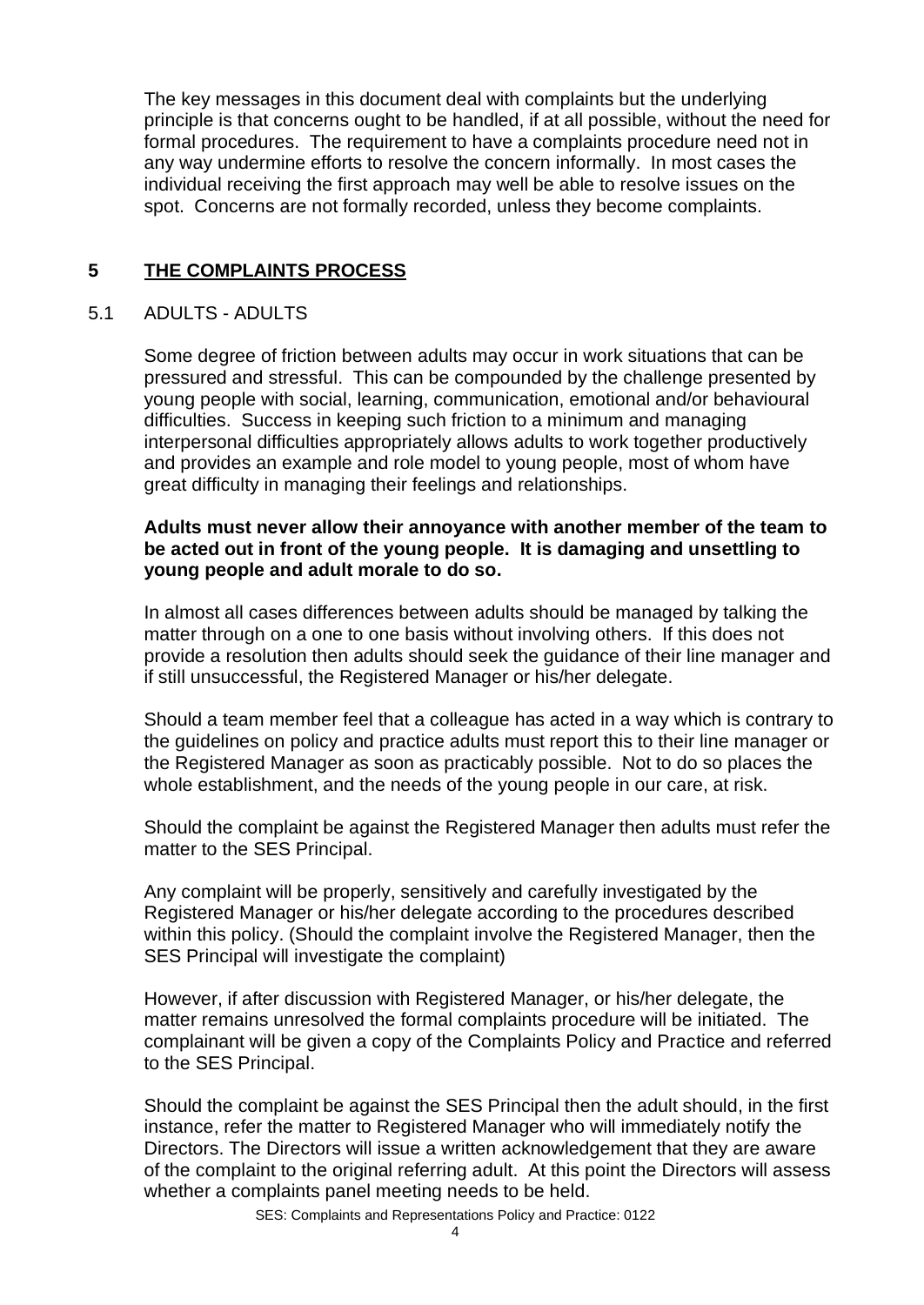The key messages in this document deal with complaints but the underlying principle is that concerns ought to be handled, if at all possible, without the need for formal procedures. The requirement to have a complaints procedure need not in any way undermine efforts to resolve the concern informally. In most cases the individual receiving the first approach may well be able to resolve issues on the spot. Concerns are not formally recorded, unless they become complaints.

#### **5 THE COMPLAINTS PROCESS**

#### 5.1 ADULTS - ADULTS

Some degree of friction between adults may occur in work situations that can be pressured and stressful. This can be compounded by the challenge presented by young people with social, learning, communication, emotional and/or behavioural difficulties. Success in keeping such friction to a minimum and managing interpersonal difficulties appropriately allows adults to work together productively and provides an example and role model to young people, most of whom have great difficulty in managing their feelings and relationships.

#### **Adults must never allow their annoyance with another member of the team to be acted out in front of the young people. It is damaging and unsettling to young people and adult morale to do so.**

In almost all cases differences between adults should be managed by talking the matter through on a one to one basis without involving others. If this does not provide a resolution then adults should seek the guidance of their line manager and if still unsuccessful, the Registered Manager or his/her delegate.

Should a team member feel that a colleague has acted in a way which is contrary to the guidelines on policy and practice adults must report this to their line manager or the Registered Manager as soon as practicably possible. Not to do so places the whole establishment, and the needs of the young people in our care, at risk.

Should the complaint be against the Registered Manager then adults must refer the matter to the SES Principal.

Any complaint will be properly, sensitively and carefully investigated by the Registered Manager or his/her delegate according to the procedures described within this policy. (Should the complaint involve the Registered Manager, then the SES Principal will investigate the complaint)

However, if after discussion with Registered Manager, or his/her delegate, the matter remains unresolved the formal complaints procedure will be initiated. The complainant will be given a copy of the Complaints Policy and Practice and referred to the SES Principal.

Should the complaint be against the SES Principal then the adult should, in the first instance, refer the matter to Registered Manager who will immediately notify the Directors. The Directors will issue a written acknowledgement that they are aware of the complaint to the original referring adult. At this point the Directors will assess whether a complaints panel meeting needs to be held.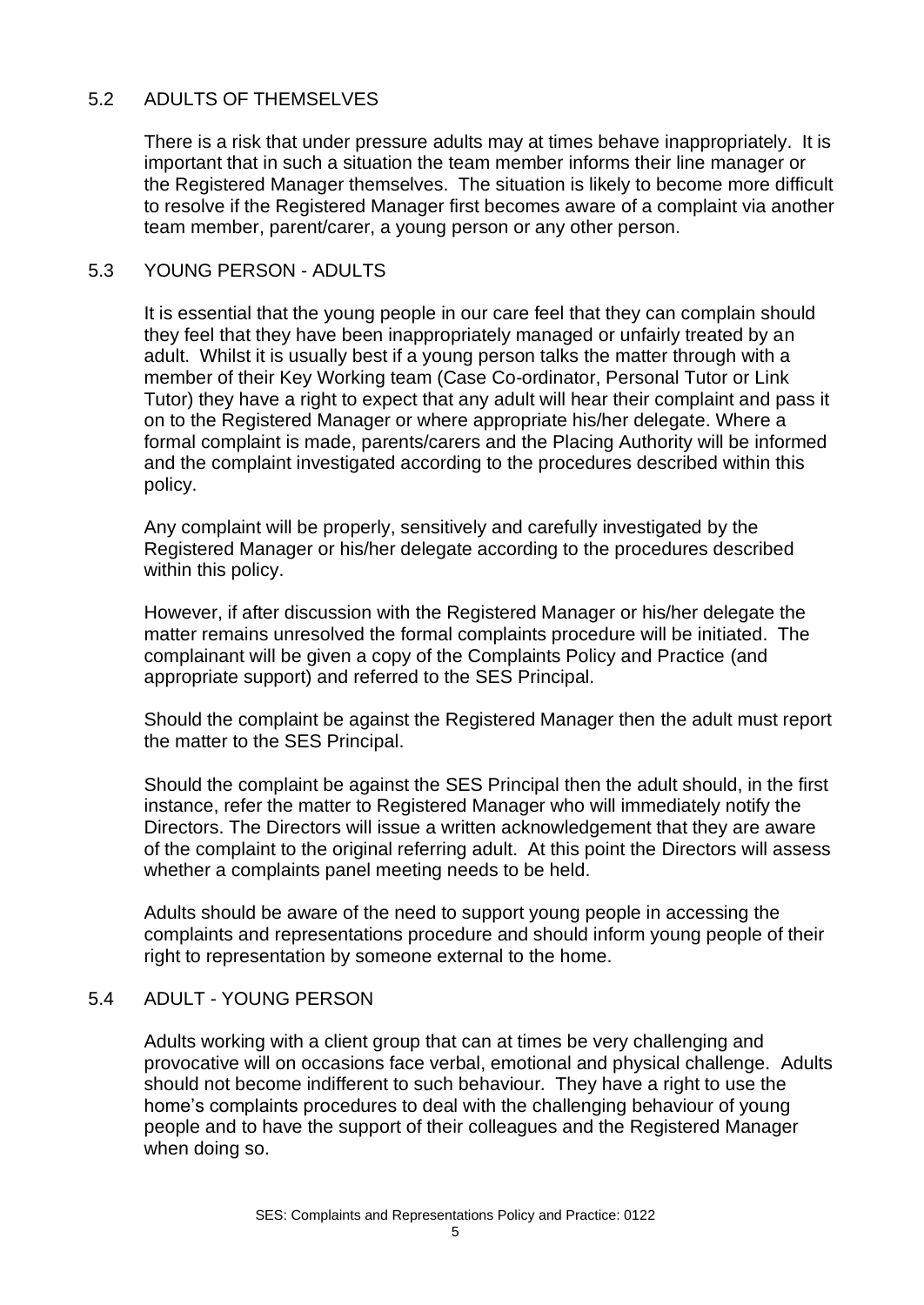#### 5.2 ADULTS OF THEMSELVES

There is a risk that under pressure adults may at times behave inappropriately. It is important that in such a situation the team member informs their line manager or the Registered Manager themselves. The situation is likely to become more difficult to resolve if the Registered Manager first becomes aware of a complaint via another team member, parent/carer, a young person or any other person.

#### 5.3 YOUNG PERSON - ADULTS

It is essential that the young people in our care feel that they can complain should they feel that they have been inappropriately managed or unfairly treated by an adult. Whilst it is usually best if a young person talks the matter through with a member of their Key Working team (Case Co-ordinator, Personal Tutor or Link Tutor) they have a right to expect that any adult will hear their complaint and pass it on to the Registered Manager or where appropriate his/her delegate. Where a formal complaint is made, parents/carers and the Placing Authority will be informed and the complaint investigated according to the procedures described within this policy.

Any complaint will be properly, sensitively and carefully investigated by the Registered Manager or his/her delegate according to the procedures described within this policy.

However, if after discussion with the Registered Manager or his/her delegate the matter remains unresolved the formal complaints procedure will be initiated. The complainant will be given a copy of the Complaints Policy and Practice (and appropriate support) and referred to the SES Principal.

Should the complaint be against the Registered Manager then the adult must report the matter to the SES Principal.

Should the complaint be against the SES Principal then the adult should, in the first instance, refer the matter to Registered Manager who will immediately notify the Directors. The Directors will issue a written acknowledgement that they are aware of the complaint to the original referring adult. At this point the Directors will assess whether a complaints panel meeting needs to be held.

Adults should be aware of the need to support young people in accessing the complaints and representations procedure and should inform young people of their right to representation by someone external to the home.

#### 5.4 ADULT - YOUNG PERSON

Adults working with a client group that can at times be very challenging and provocative will on occasions face verbal, emotional and physical challenge. Adults should not become indifferent to such behaviour. They have a right to use the home's complaints procedures to deal with the challenging behaviour of young people and to have the support of their colleagues and the Registered Manager when doing so.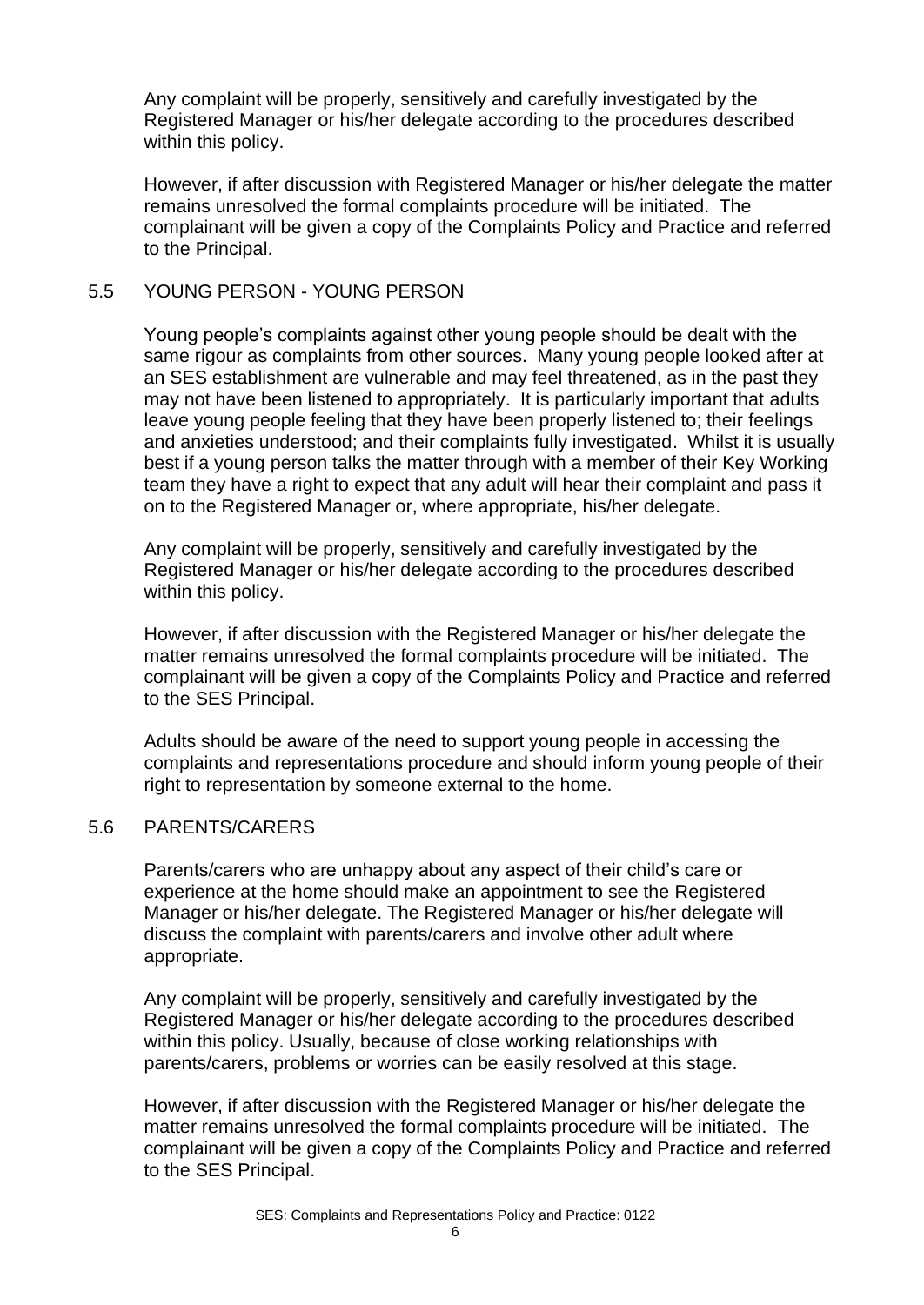Any complaint will be properly, sensitively and carefully investigated by the Registered Manager or his/her delegate according to the procedures described within this policy.

However, if after discussion with Registered Manager or his/her delegate the matter remains unresolved the formal complaints procedure will be initiated. The complainant will be given a copy of the Complaints Policy and Practice and referred to the Principal.

#### 5.5 YOUNG PERSON - YOUNG PERSON

Young people's complaints against other young people should be dealt with the same rigour as complaints from other sources. Many young people looked after at an SES establishment are vulnerable and may feel threatened, as in the past they may not have been listened to appropriately. It is particularly important that adults leave young people feeling that they have been properly listened to; their feelings and anxieties understood; and their complaints fully investigated. Whilst it is usually best if a young person talks the matter through with a member of their Key Working team they have a right to expect that any adult will hear their complaint and pass it on to the Registered Manager or, where appropriate, his/her delegate.

Any complaint will be properly, sensitively and carefully investigated by the Registered Manager or his/her delegate according to the procedures described within this policy.

However, if after discussion with the Registered Manager or his/her delegate the matter remains unresolved the formal complaints procedure will be initiated. The complainant will be given a copy of the Complaints Policy and Practice and referred to the SES Principal.

Adults should be aware of the need to support young people in accessing the complaints and representations procedure and should inform young people of their right to representation by someone external to the home.

#### 5.6 PARENTS/CARERS

Parents/carers who are unhappy about any aspect of their child's care or experience at the home should make an appointment to see the Registered Manager or his/her delegate. The Registered Manager or his/her delegate will discuss the complaint with parents/carers and involve other adult where appropriate.

Any complaint will be properly, sensitively and carefully investigated by the Registered Manager or his/her delegate according to the procedures described within this policy. Usually, because of close working relationships with parents/carers, problems or worries can be easily resolved at this stage.

However, if after discussion with the Registered Manager or his/her delegate the matter remains unresolved the formal complaints procedure will be initiated. The complainant will be given a copy of the Complaints Policy and Practice and referred to the SES Principal.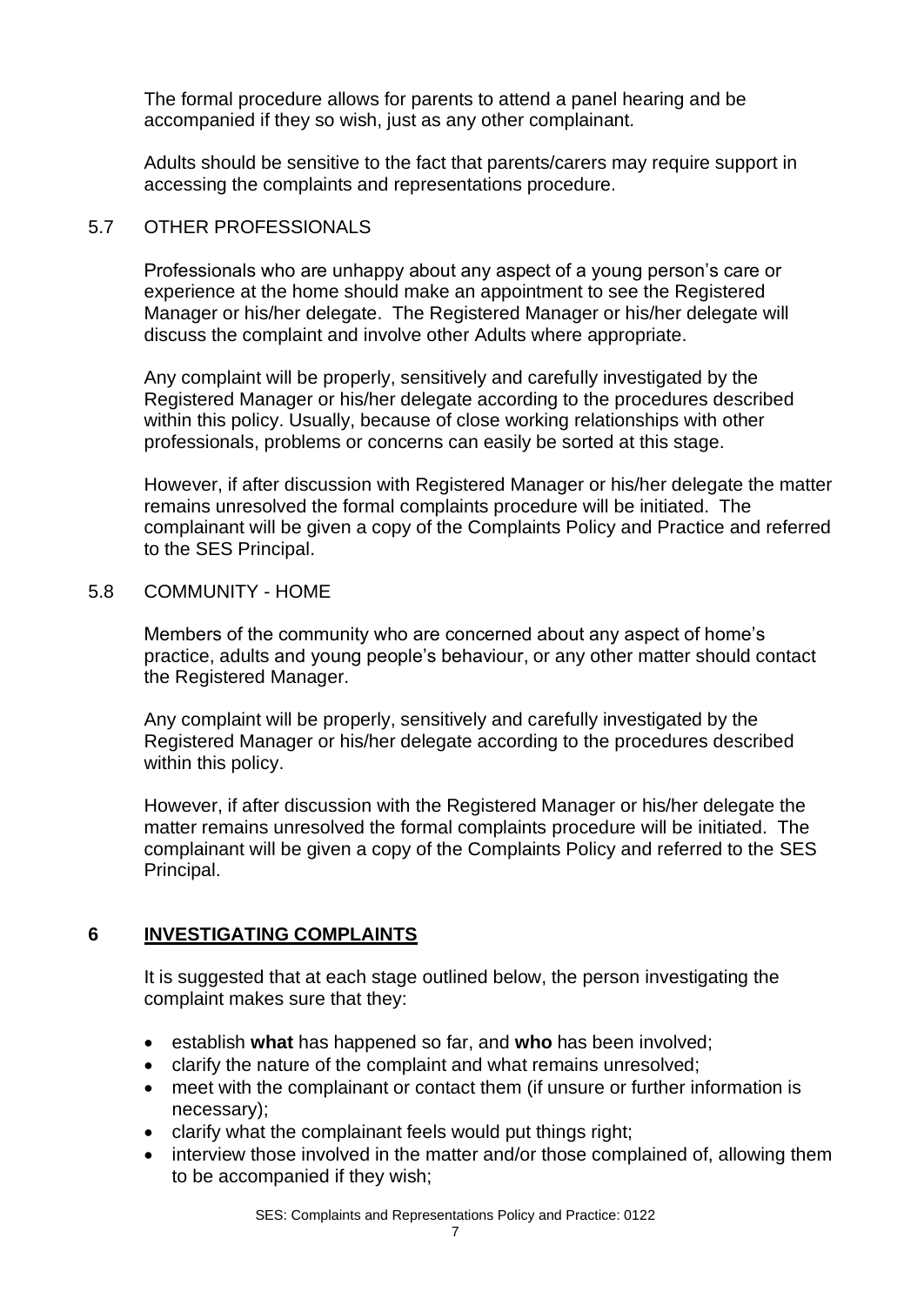The formal procedure allows for parents to attend a panel hearing and be accompanied if they so wish, just as any other complainant.

Adults should be sensitive to the fact that parents/carers may require support in accessing the complaints and representations procedure.

#### 5.7 OTHER PROFESSIONALS

Professionals who are unhappy about any aspect of a young person's care or experience at the home should make an appointment to see the Registered Manager or his/her delegate. The Registered Manager or his/her delegate will discuss the complaint and involve other Adults where appropriate.

Any complaint will be properly, sensitively and carefully investigated by the Registered Manager or his/her delegate according to the procedures described within this policy. Usually, because of close working relationships with other professionals, problems or concerns can easily be sorted at this stage.

However, if after discussion with Registered Manager or his/her delegate the matter remains unresolved the formal complaints procedure will be initiated. The complainant will be given a copy of the Complaints Policy and Practice and referred to the SES Principal.

#### 5.8 COMMUNITY - HOME

Members of the community who are concerned about any aspect of home's practice, adults and young people's behaviour, or any other matter should contact the Registered Manager.

Any complaint will be properly, sensitively and carefully investigated by the Registered Manager or his/her delegate according to the procedures described within this policy.

However, if after discussion with the Registered Manager or his/her delegate the matter remains unresolved the formal complaints procedure will be initiated. The complainant will be given a copy of the Complaints Policy and referred to the SES Principal.

#### **6 INVESTIGATING COMPLAINTS**

It is suggested that at each stage outlined below, the person investigating the complaint makes sure that they:

- establish **what** has happened so far, and **who** has been involved;
- clarify the nature of the complaint and what remains unresolved;
- meet with the complainant or contact them (if unsure or further information is necessary);
- clarify what the complainant feels would put things right;
- interview those involved in the matter and/or those complained of, allowing them to be accompanied if they wish;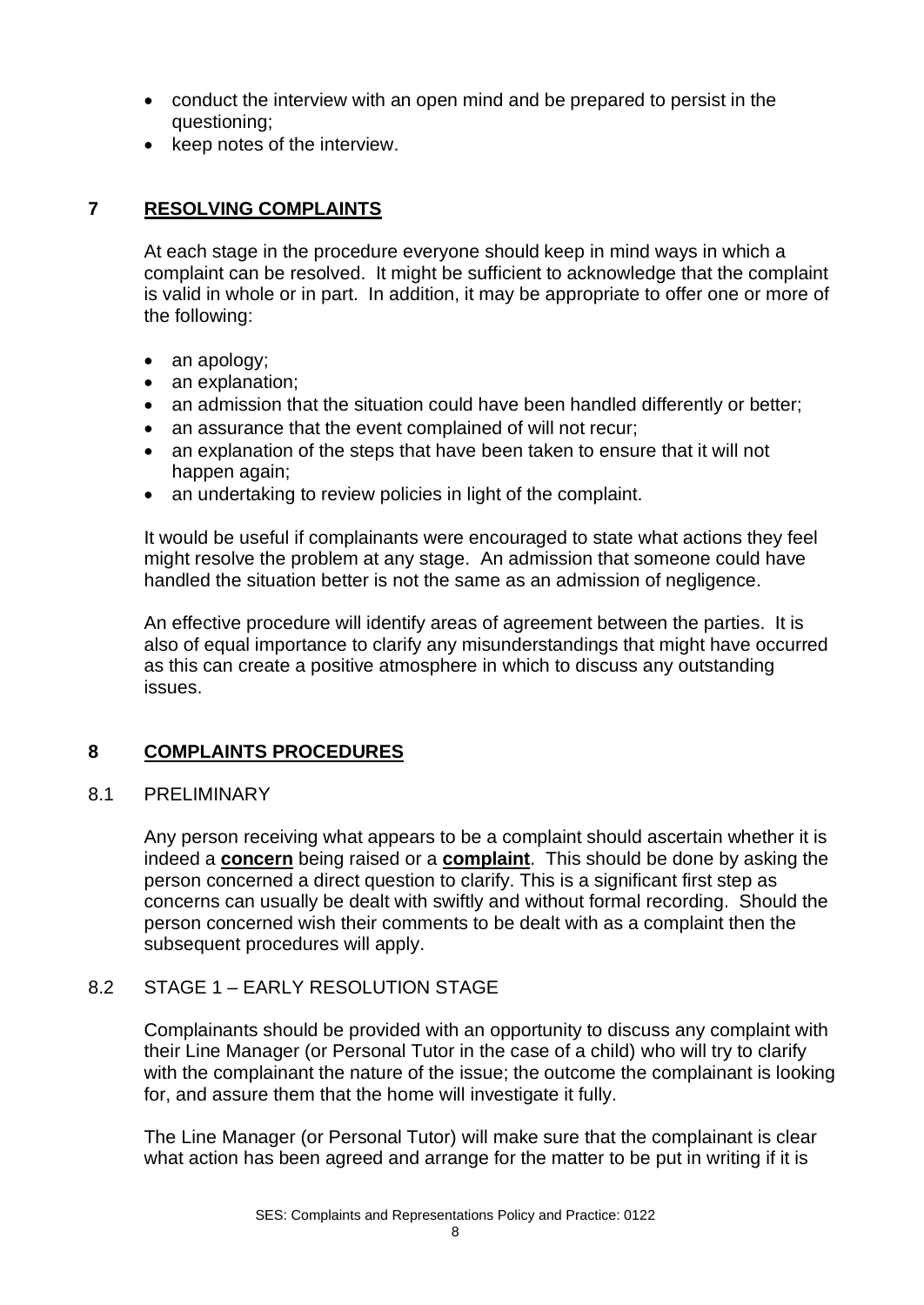- conduct the interview with an open mind and be prepared to persist in the questioning;
- keep notes of the interview.

#### **7 RESOLVING COMPLAINTS**

At each stage in the procedure everyone should keep in mind ways in which a complaint can be resolved. It might be sufficient to acknowledge that the complaint is valid in whole or in part. In addition, it may be appropriate to offer one or more of the following:

- an apology;
- an explanation;
- an admission that the situation could have been handled differently or better;
- an assurance that the event complained of will not recur;
- an explanation of the steps that have been taken to ensure that it will not happen again;
- an undertaking to review policies in light of the complaint.

It would be useful if complainants were encouraged to state what actions they feel might resolve the problem at any stage. An admission that someone could have handled the situation better is not the same as an admission of negligence.

An effective procedure will identify areas of agreement between the parties. It is also of equal importance to clarify any misunderstandings that might have occurred as this can create a positive atmosphere in which to discuss any outstanding issues.

#### **8 COMPLAINTS PROCEDURES**

#### 8.1 PRELIMINARY

Any person receiving what appears to be a complaint should ascertain whether it is indeed a **concern** being raised or a **complaint**. This should be done by asking the person concerned a direct question to clarify. This is a significant first step as concerns can usually be dealt with swiftly and without formal recording. Should the person concerned wish their comments to be dealt with as a complaint then the subsequent procedures will apply.

#### 8.2 STAGE 1 – EARLY RESOLUTION STAGE

Complainants should be provided with an opportunity to discuss any complaint with their Line Manager (or Personal Tutor in the case of a child) who will try to clarify with the complainant the nature of the issue; the outcome the complainant is looking for, and assure them that the home will investigate it fully.

The Line Manager (or Personal Tutor) will make sure that the complainant is clear what action has been agreed and arrange for the matter to be put in writing if it is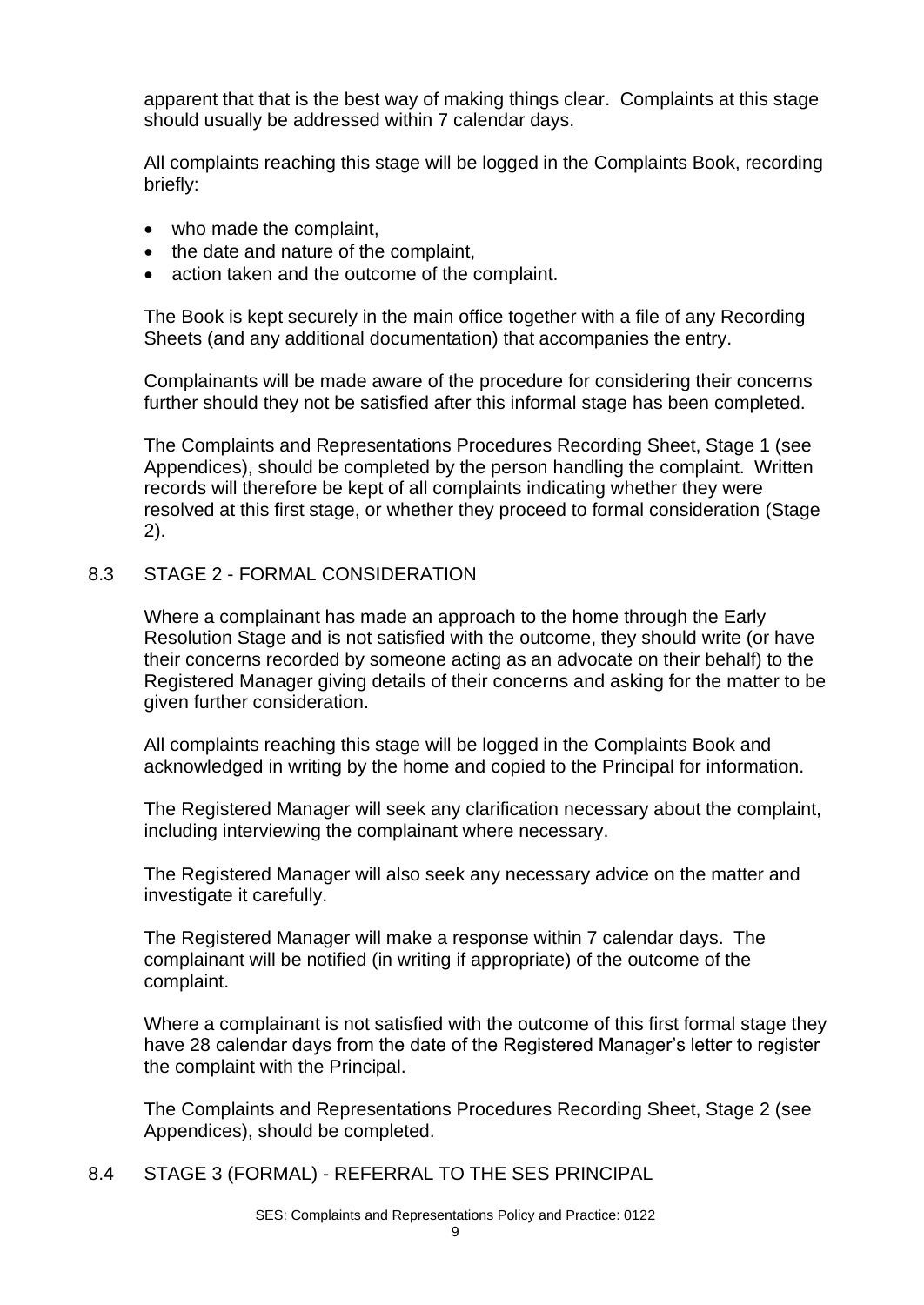apparent that that is the best way of making things clear. Complaints at this stage should usually be addressed within 7 calendar days.

All complaints reaching this stage will be logged in the Complaints Book, recording briefly:

- who made the complaint,
- the date and nature of the complaint,
- action taken and the outcome of the complaint.

The Book is kept securely in the main office together with a file of any Recording Sheets (and any additional documentation) that accompanies the entry.

Complainants will be made aware of the procedure for considering their concerns further should they not be satisfied after this informal stage has been completed.

The Complaints and Representations Procedures Recording Sheet, Stage 1 (see Appendices), should be completed by the person handling the complaint. Written records will therefore be kept of all complaints indicating whether they were resolved at this first stage, or whether they proceed to formal consideration (Stage 2).

#### 8.3 STAGE 2 - FORMAL CONSIDERATION

Where a complainant has made an approach to the home through the Early Resolution Stage and is not satisfied with the outcome, they should write (or have their concerns recorded by someone acting as an advocate on their behalf) to the Registered Manager giving details of their concerns and asking for the matter to be given further consideration.

All complaints reaching this stage will be logged in the Complaints Book and acknowledged in writing by the home and copied to the Principal for information.

The Registered Manager will seek any clarification necessary about the complaint, including interviewing the complainant where necessary.

The Registered Manager will also seek any necessary advice on the matter and investigate it carefully.

The Registered Manager will make a response within 7 calendar days. The complainant will be notified (in writing if appropriate) of the outcome of the complaint.

Where a complainant is not satisfied with the outcome of this first formal stage they have 28 calendar days from the date of the Registered Manager's letter to register the complaint with the Principal.

The Complaints and Representations Procedures Recording Sheet, Stage 2 (see Appendices), should be completed.

8.4 STAGE 3 (FORMAL) - REFERRAL TO THE SES PRINCIPAL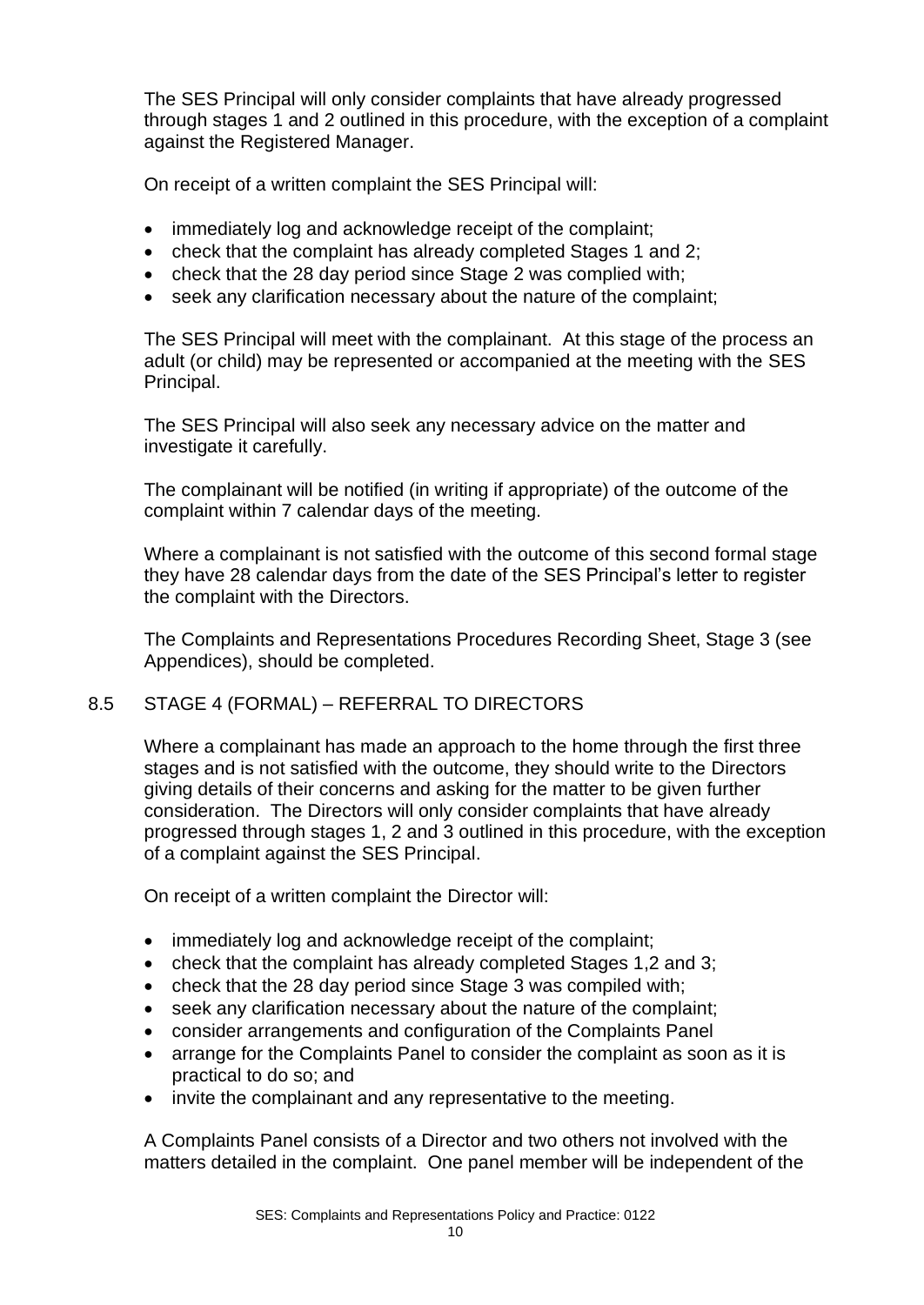The SES Principal will only consider complaints that have already progressed through stages 1 and 2 outlined in this procedure, with the exception of a complaint against the Registered Manager.

On receipt of a written complaint the SES Principal will:

- immediately log and acknowledge receipt of the complaint;
- check that the complaint has already completed Stages 1 and 2;
- check that the 28 day period since Stage 2 was complied with;
- seek any clarification necessary about the nature of the complaint;

The SES Principal will meet with the complainant. At this stage of the process an adult (or child) may be represented or accompanied at the meeting with the SES Principal.

The SES Principal will also seek any necessary advice on the matter and investigate it carefully.

The complainant will be notified (in writing if appropriate) of the outcome of the complaint within 7 calendar days of the meeting.

Where a complainant is not satisfied with the outcome of this second formal stage they have 28 calendar days from the date of the SES Principal's letter to register the complaint with the Directors.

The Complaints and Representations Procedures Recording Sheet, Stage 3 (see Appendices), should be completed.

#### 8.5 STAGE 4 (FORMAL) – REFERRAL TO DIRECTORS

Where a complainant has made an approach to the home through the first three stages and is not satisfied with the outcome, they should write to the Directors giving details of their concerns and asking for the matter to be given further consideration. The Directors will only consider complaints that have already progressed through stages 1, 2 and 3 outlined in this procedure, with the exception of a complaint against the SES Principal.

On receipt of a written complaint the Director will:

- immediately log and acknowledge receipt of the complaint;
- check that the complaint has already completed Stages 1,2 and 3;
- check that the 28 day period since Stage 3 was compiled with;
- seek any clarification necessary about the nature of the complaint;
- consider arrangements and configuration of the Complaints Panel
- arrange for the Complaints Panel to consider the complaint as soon as it is practical to do so; and
- invite the complainant and any representative to the meeting.

A Complaints Panel consists of a Director and two others not involved with the matters detailed in the complaint. One panel member will be independent of the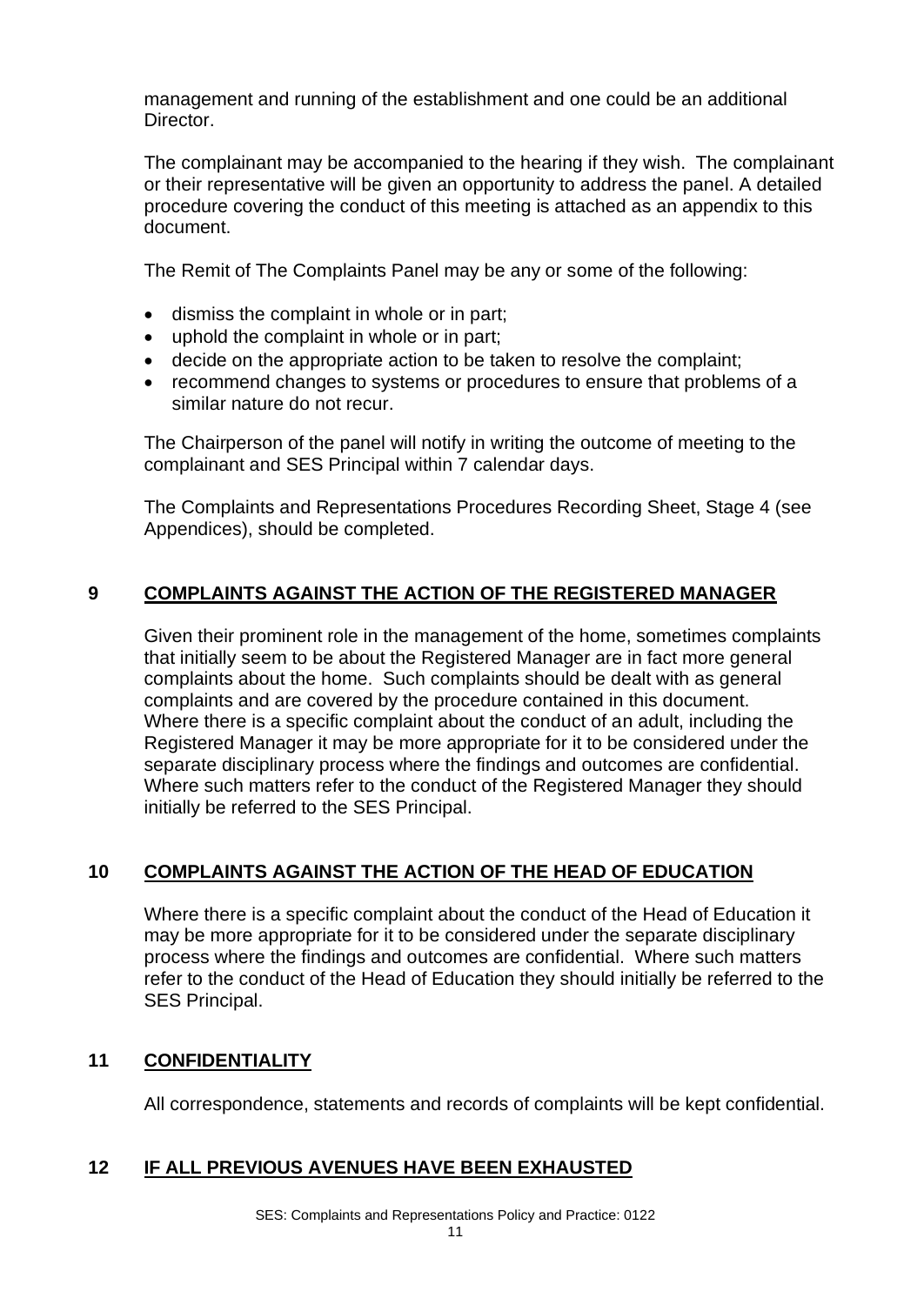management and running of the establishment and one could be an additional Director.

The complainant may be accompanied to the hearing if they wish. The complainant or their representative will be given an opportunity to address the panel. A detailed procedure covering the conduct of this meeting is attached as an appendix to this document.

The Remit of The Complaints Panel may be any or some of the following:

- dismiss the complaint in whole or in part;
- uphold the complaint in whole or in part;
- decide on the appropriate action to be taken to resolve the complaint;
- recommend changes to systems or procedures to ensure that problems of a similar nature do not recur.

The Chairperson of the panel will notify in writing the outcome of meeting to the complainant and SES Principal within 7 calendar days.

The Complaints and Representations Procedures Recording Sheet, Stage 4 (see Appendices), should be completed.

#### **9 COMPLAINTS AGAINST THE ACTION OF THE REGISTERED MANAGER**

Given their prominent role in the management of the home, sometimes complaints that initially seem to be about the Registered Manager are in fact more general complaints about the home. Such complaints should be dealt with as general complaints and are covered by the procedure contained in this document. Where there is a specific complaint about the conduct of an adult, including the Registered Manager it may be more appropriate for it to be considered under the separate disciplinary process where the findings and outcomes are confidential. Where such matters refer to the conduct of the Registered Manager they should initially be referred to the SES Principal.

#### **10 COMPLAINTS AGAINST THE ACTION OF THE HEAD OF EDUCATION**

Where there is a specific complaint about the conduct of the Head of Education it may be more appropriate for it to be considered under the separate disciplinary process where the findings and outcomes are confidential. Where such matters refer to the conduct of the Head of Education they should initially be referred to the SES Principal.

#### **11 CONFIDENTIALITY**

All correspondence, statements and records of complaints will be kept confidential.

#### **12 IF ALL PREVIOUS AVENUES HAVE BEEN EXHAUSTED**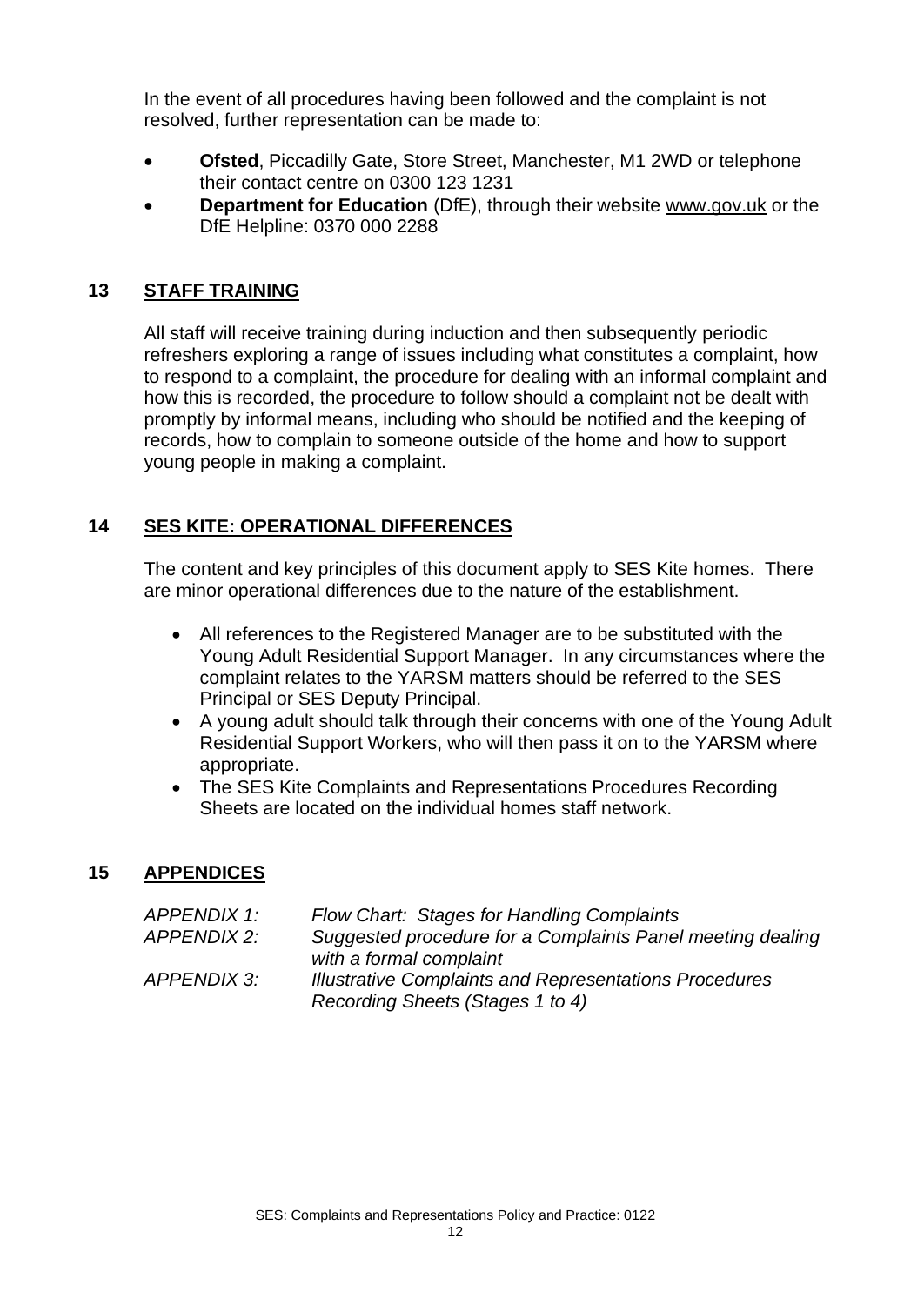In the event of all procedures having been followed and the complaint is not resolved, further representation can be made to:

- **Ofsted**, Piccadilly Gate, Store Street, Manchester, M1 2WD or telephone their contact centre on 0300 123 1231
- **Department for Education** (DfE), through their website [www.gov.uk](http://www.gov.uk/) or the DfE Helpline: 0370 000 2288

#### **13 STAFF TRAINING**

All staff will receive training during induction and then subsequently periodic refreshers exploring a range of issues including what constitutes a complaint, how to respond to a complaint, the procedure for dealing with an informal complaint and how this is recorded, the procedure to follow should a complaint not be dealt with promptly by informal means, including who should be notified and the keeping of records, how to complain to someone outside of the home and how to support young people in making a complaint.

#### **14 SES KITE: OPERATIONAL DIFFERENCES**

The content and key principles of this document apply to SES Kite homes. There are minor operational differences due to the nature of the establishment.

- All references to the Registered Manager are to be substituted with the Young Adult Residential Support Manager. In any circumstances where the complaint relates to the YARSM matters should be referred to the SES Principal or SES Deputy Principal.
- A young adult should talk through their concerns with one of the Young Adult Residential Support Workers, who will then pass it on to the YARSM where appropriate.
- The SES Kite Complaints and Representations Procedures Recording Sheets are located on the individual homes staff network.

#### **15 APPENDICES**

| APPENDIX 1: | Flow Chart: Stages for Handling Complaints                    |
|-------------|---------------------------------------------------------------|
| APPENDIX 2: | Suggested procedure for a Complaints Panel meeting dealing    |
|             | with a formal complaint                                       |
| APPENDIX 3: | <b>Illustrative Complaints and Representations Procedures</b> |
|             | Recording Sheets (Stages 1 to 4)                              |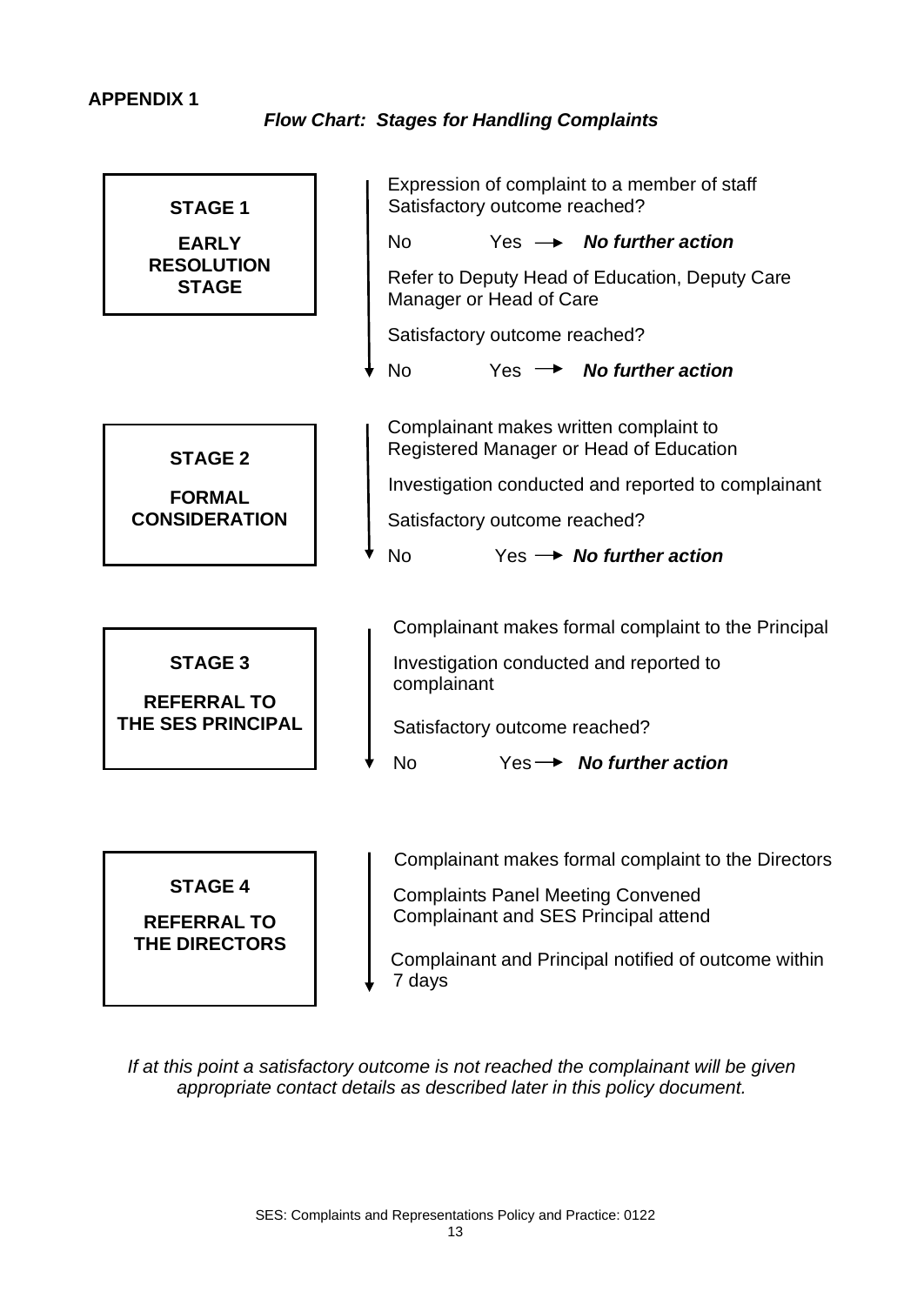#### **APPENDIX 1**

*Flow Chart: Stages for Handling Complaints*



 Complainant and Principal notified of outcome within 7 days

*If at this point a satisfactory outcome is not reached the complainant will be given appropriate contact details as described later in this policy document.*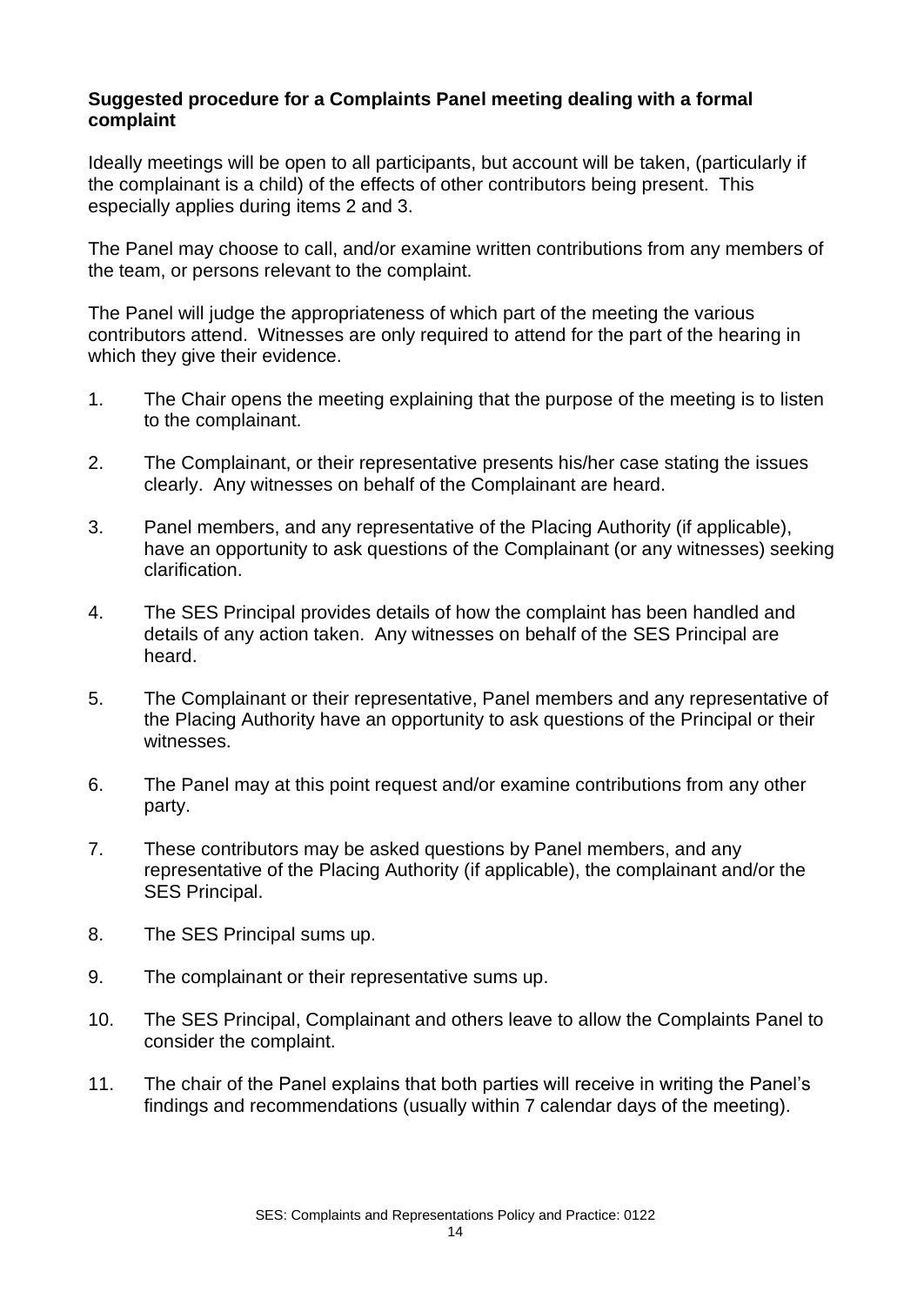#### **Suggested procedure for a Complaints Panel meeting dealing with a formal complaint**

Ideally meetings will be open to all participants, but account will be taken, (particularly if the complainant is a child) of the effects of other contributors being present. This especially applies during items 2 and 3.

The Panel may choose to call, and/or examine written contributions from any members of the team, or persons relevant to the complaint.

The Panel will judge the appropriateness of which part of the meeting the various contributors attend. Witnesses are only required to attend for the part of the hearing in which they give their evidence.

- 1. The Chair opens the meeting explaining that the purpose of the meeting is to listen to the complainant.
- 2. The Complainant, or their representative presents his/her case stating the issues clearly. Any witnesses on behalf of the Complainant are heard.
- 3. Panel members, and any representative of the Placing Authority (if applicable), have an opportunity to ask questions of the Complainant (or any witnesses) seeking clarification.
- 4. The SES Principal provides details of how the complaint has been handled and details of any action taken. Any witnesses on behalf of the SES Principal are heard.
- 5. The Complainant or their representative, Panel members and any representative of the Placing Authority have an opportunity to ask questions of the Principal or their witnesses.
- 6. The Panel may at this point request and/or examine contributions from any other party.
- 7. These contributors may be asked questions by Panel members, and any representative of the Placing Authority (if applicable), the complainant and/or the SES Principal.
- 8. The SES Principal sums up.
- 9. The complainant or their representative sums up.
- 10. The SES Principal, Complainant and others leave to allow the Complaints Panel to consider the complaint.
- 11. The chair of the Panel explains that both parties will receive in writing the Panel's findings and recommendations (usually within 7 calendar days of the meeting).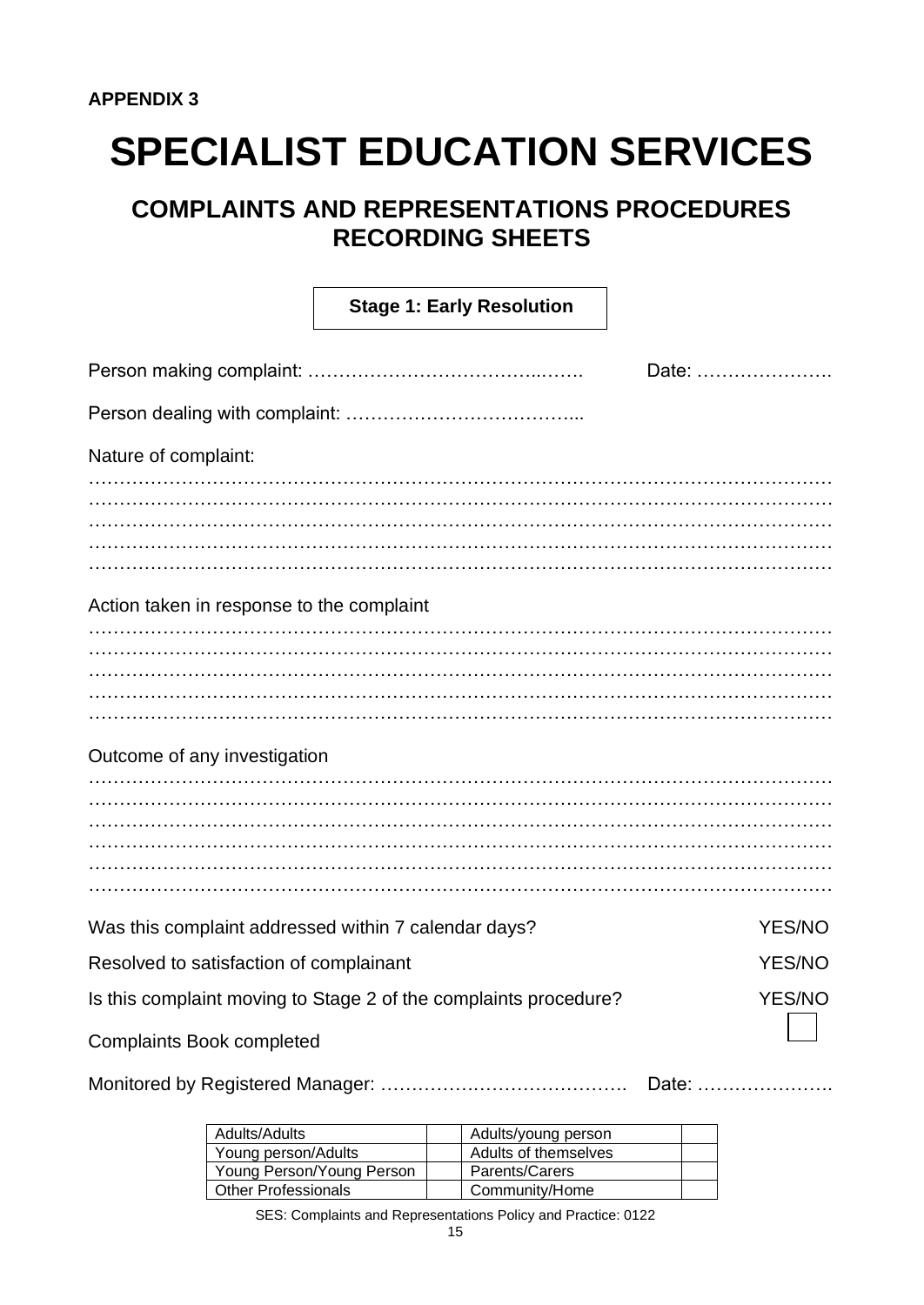### **COMPLAINTS AND REPRESENTATIONS PROCEDURES RECORDING SHEETS**

|                                                      | <b>Stage 1: Early Resolution</b>                                 |               |  |  |
|------------------------------------------------------|------------------------------------------------------------------|---------------|--|--|
| Date:                                                |                                                                  |               |  |  |
|                                                      |                                                                  |               |  |  |
| Nature of complaint:                                 |                                                                  |               |  |  |
|                                                      |                                                                  |               |  |  |
|                                                      |                                                                  |               |  |  |
|                                                      |                                                                  |               |  |  |
|                                                      |                                                                  |               |  |  |
| Action taken in response to the complaint            |                                                                  |               |  |  |
|                                                      |                                                                  |               |  |  |
|                                                      |                                                                  |               |  |  |
|                                                      |                                                                  |               |  |  |
|                                                      |                                                                  |               |  |  |
|                                                      |                                                                  |               |  |  |
| Outcome of any investigation                         |                                                                  |               |  |  |
|                                                      |                                                                  |               |  |  |
|                                                      |                                                                  |               |  |  |
|                                                      |                                                                  |               |  |  |
|                                                      |                                                                  |               |  |  |
|                                                      |                                                                  |               |  |  |
| Was this complaint addressed within 7 calendar days? |                                                                  | <b>YES/NO</b> |  |  |
| Resolved to satisfaction of complainant              |                                                                  | <b>YES/NO</b> |  |  |
|                                                      | Is this complaint moving to Stage 2 of the complaints procedure? | <b>YES/NO</b> |  |  |
| <b>Complaints Book completed</b>                     |                                                                  |               |  |  |
|                                                      |                                                                  | Date:         |  |  |

| Adults/Adults              | Adults/young person  |  |
|----------------------------|----------------------|--|
| Young person/Adults        | Adults of themselves |  |
| Young Person/Young Person  | Parents/Carers       |  |
| <b>Other Professionals</b> | Community/Home       |  |
|                            |                      |  |

SES: Complaints and Representations Policy and Practice: 0122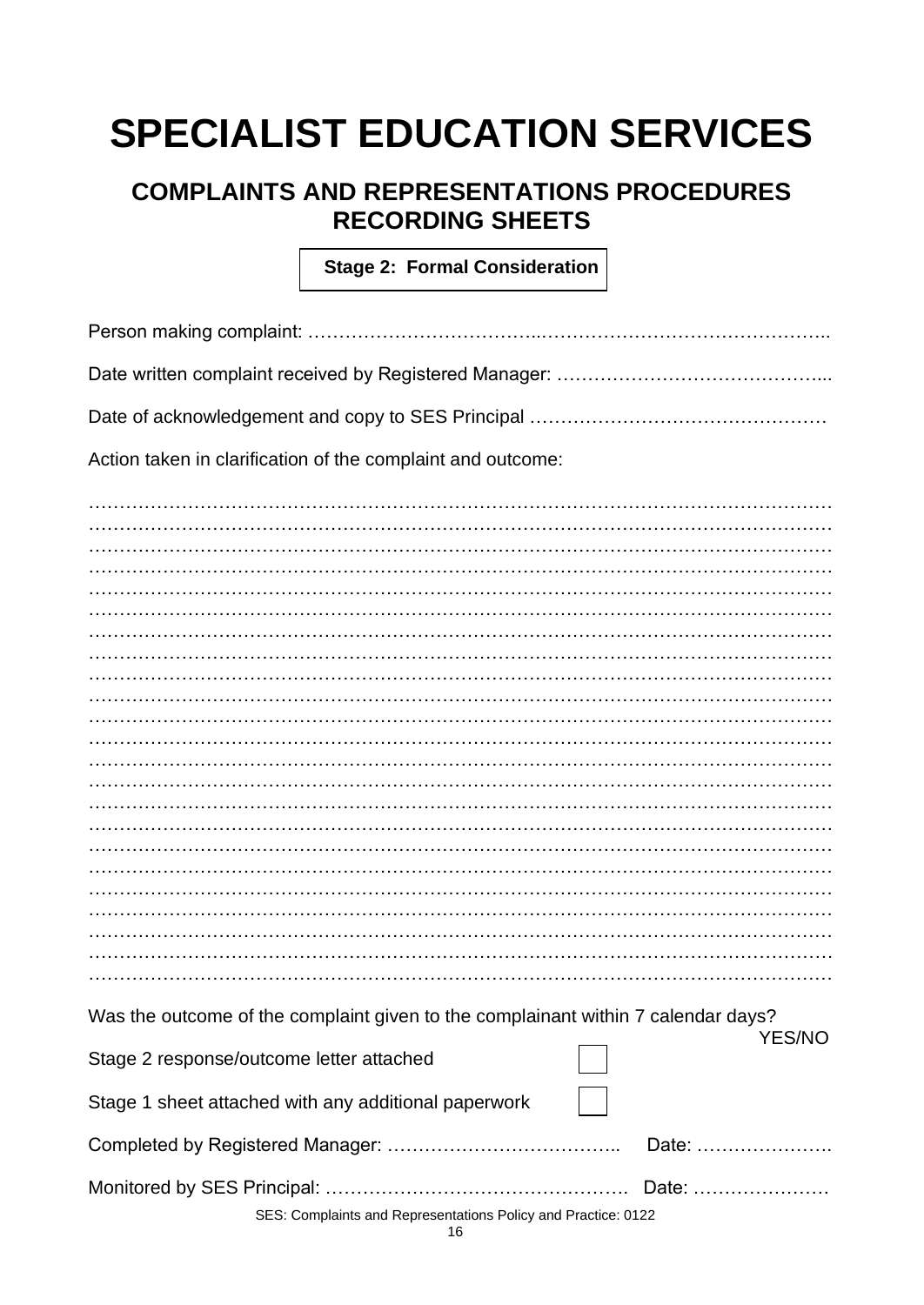### **COMPLAINTS AND REPRESENTATIONS PROCEDURES RECORDING SHEETS**

**Stage 2: Formal Consideration** 

| Action taken in clarification of the complaint and outcome:                                        |  |  |  |
|----------------------------------------------------------------------------------------------------|--|--|--|
|                                                                                                    |  |  |  |
|                                                                                                    |  |  |  |
|                                                                                                    |  |  |  |
|                                                                                                    |  |  |  |
|                                                                                                    |  |  |  |
|                                                                                                    |  |  |  |
|                                                                                                    |  |  |  |
|                                                                                                    |  |  |  |
|                                                                                                    |  |  |  |
|                                                                                                    |  |  |  |
|                                                                                                    |  |  |  |
|                                                                                                    |  |  |  |
|                                                                                                    |  |  |  |
|                                                                                                    |  |  |  |
|                                                                                                    |  |  |  |
|                                                                                                    |  |  |  |
|                                                                                                    |  |  |  |
|                                                                                                    |  |  |  |
|                                                                                                    |  |  |  |
|                                                                                                    |  |  |  |
|                                                                                                    |  |  |  |
|                                                                                                    |  |  |  |
|                                                                                                    |  |  |  |
| Was the outcome of the complaint given to the complainant within 7 calendar days?<br><b>YES/NO</b> |  |  |  |
| Stage 2 response/outcome letter attached                                                           |  |  |  |
| Stage 1 sheet attached with any additional paperwork                                               |  |  |  |
| Date:                                                                                              |  |  |  |
| Date:                                                                                              |  |  |  |
| SES: Complaints and Representations Policy and Practice: 0122                                      |  |  |  |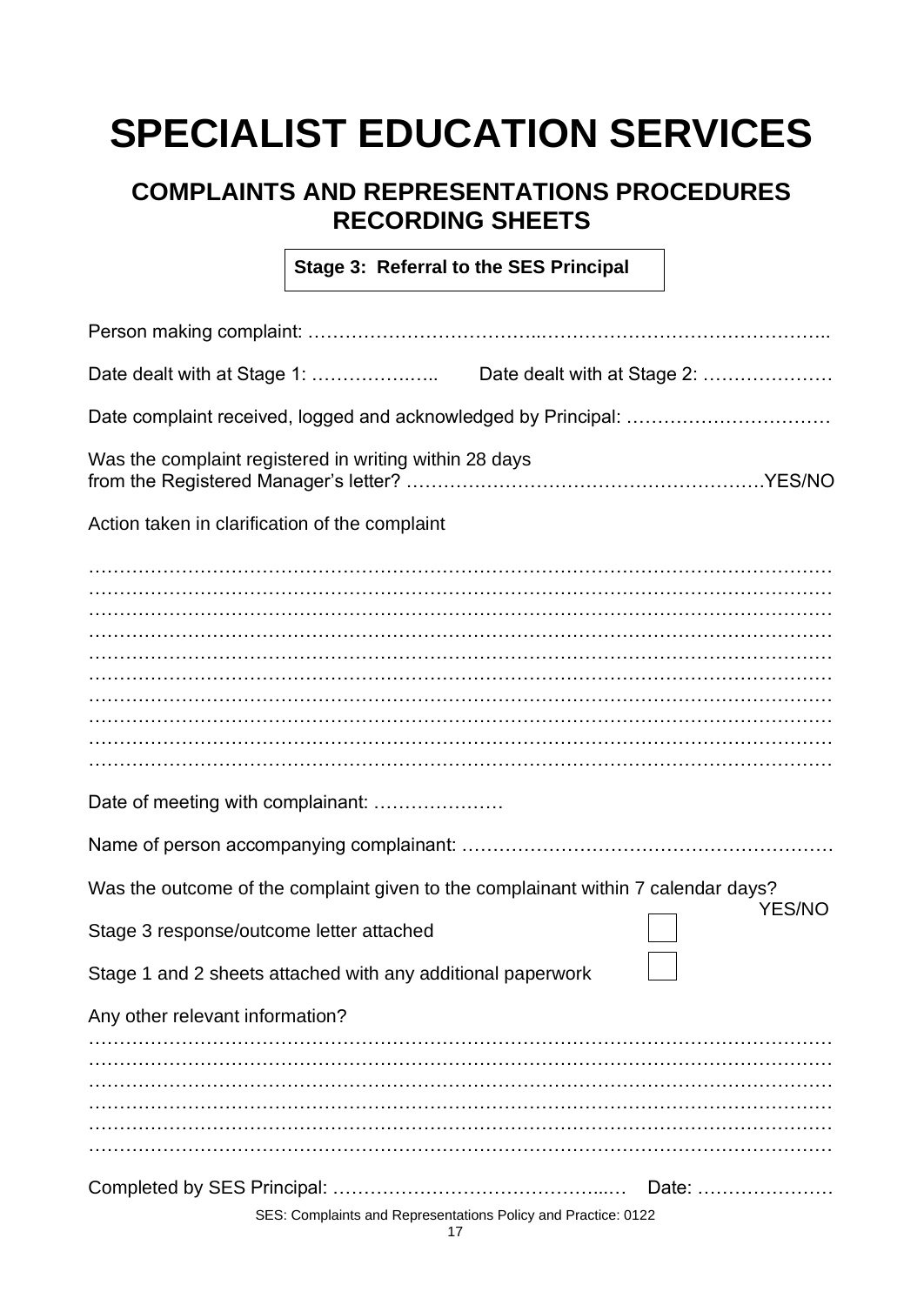### **COMPLAINTS AND REPRESENTATIONS PROCEDURES RECORDING SHEETS**

**Stage 3: Referral to the SES Principal** 

| Was the complaint registered in writing within 28 days                                       |               |  |
|----------------------------------------------------------------------------------------------|---------------|--|
| Action taken in clarification of the complaint                                               |               |  |
|                                                                                              |               |  |
|                                                                                              |               |  |
|                                                                                              |               |  |
|                                                                                              |               |  |
|                                                                                              |               |  |
| Date of meeting with complainant:                                                            |               |  |
|                                                                                              |               |  |
| Was the outcome of the complaint given to the complainant within 7 calendar days?            | <b>YES/NO</b> |  |
| Stage 3 response/outcome letter attached                                                     |               |  |
| Stage 1 and 2 sheets attached with any additional paperwork                                  |               |  |
| Any other relevant information?                                                              |               |  |
|                                                                                              |               |  |
|                                                                                              |               |  |
|                                                                                              |               |  |
| Completed by SES Principal:<br>SES: Complaints and Representations Policy and Practice: 0122 | Date:         |  |